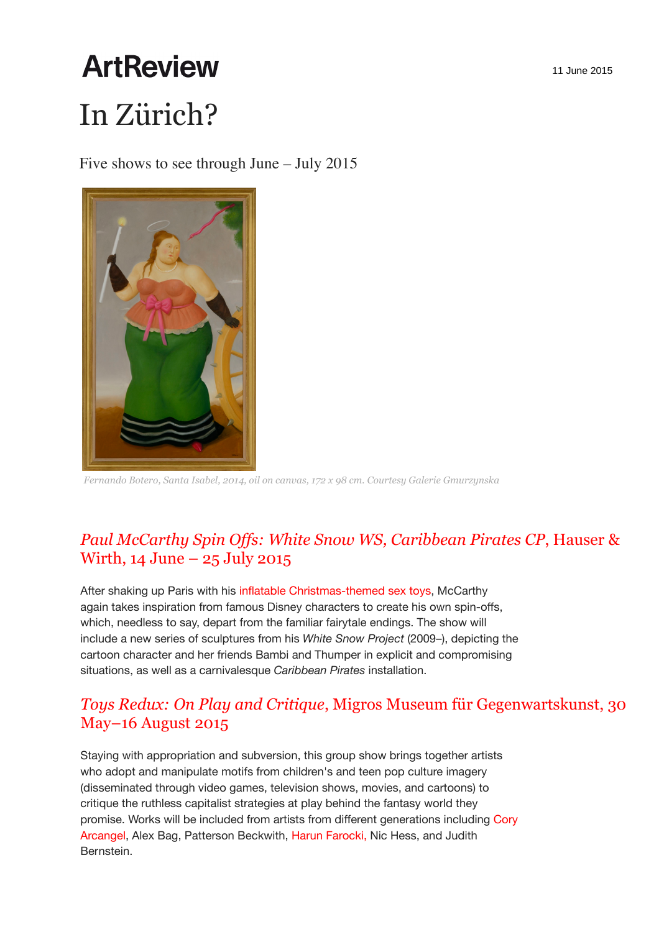# **ArtReview** In Zürich?

Five shows to see through June – July 2015



*Fernando Botero, Santa Isabel, 2014, oil on canvas, 172 x 98 cm. Courtesy Galerie Gmurzynska*

## *Paul McCarthy Spin Offs: White Snow WS, Caribbean Pirates CP*, Hauser & Wirth, 14 June – 25 July 2015

After shaking up Paris with his inflatable Christmas-themed sex toys, McCarthy again takes inspiration from famous Disney characters to create his own spin-offs, which, needless to say, depart from the familiar fairytale endings. The show will include a new series of sculptures from his *White Snow Project* (2009–), depicting the cartoon character and her friends Bambi and Thumper in explicit and compromising situations, as well as a carnivalesque *Caribbean Pirates* installation.

## *Toys Redux: On Play and Critique*, Migros Museum für Gegenwartskunst, 30 May–16 August 2015

Staying with appropriation and subversion, this group show brings together artists who adopt and manipulate motifs from children's and teen pop culture imagery (disseminated through video games, television shows, movies, and cartoons) to critique the ruthless capitalist strategies at play behind the fantasy world they promise. Works will be included from artists from different generations including Cory Arcangel, Alex Bag, Patterson Beckwith, Harun Farocki, Nic Hess, and Judith Bernstein.